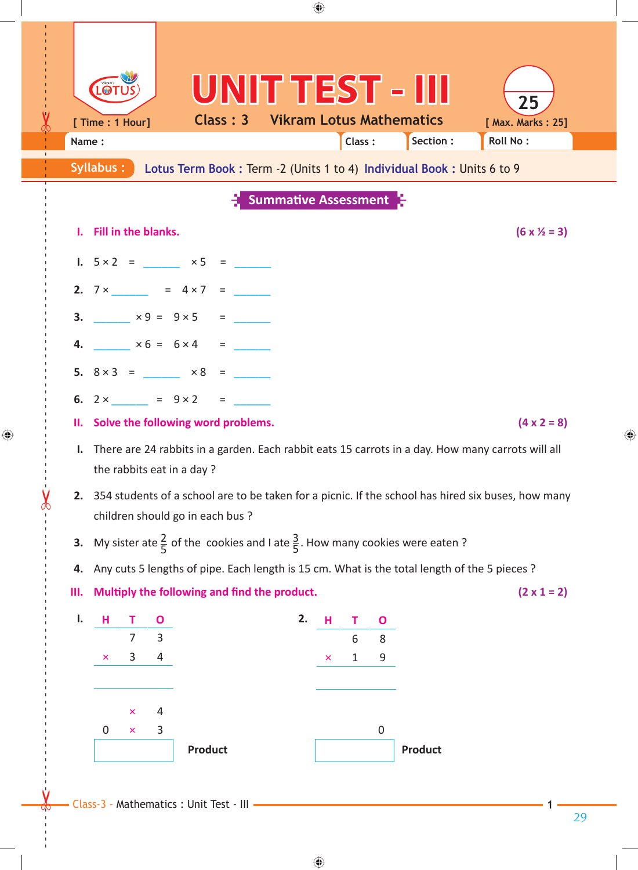|    | [ Time : 1 Hour]<br>Name: |                     |                     |                                                                                                                                           | UNITTEST - III<br><b>Class: 3 Vikram Lotus Mathematics</b> |   | Class: |                  | Section :      | 25<br>[ Max. Marks: 25]<br><b>Roll No:</b> |  |
|----|---------------------------|---------------------|---------------------|-------------------------------------------------------------------------------------------------------------------------------------------|------------------------------------------------------------|---|--------|------------------|----------------|--------------------------------------------|--|
|    | Syllabus:                 |                     |                     | Lotus Term Book: Term -2 (Units 1 to 4) Individual Book: Units 6 to 9                                                                     |                                                            |   |        |                  |                |                                            |  |
|    |                           |                     |                     |                                                                                                                                           | <b>Summative Assessment</b>                                |   |        |                  |                |                                            |  |
|    | I. Fill in the blanks.    |                     |                     |                                                                                                                                           |                                                            |   |        |                  |                | $(6 \times \frac{1}{2} = 3)$               |  |
|    |                           |                     |                     | 1. $5 \times 2 = 3 \times 5 = 5$                                                                                                          |                                                            |   |        |                  |                |                                            |  |
|    |                           |                     |                     | 2. $7 \times$ = $4 \times 7$ =                                                                                                            |                                                            |   |        |                  |                |                                            |  |
|    |                           |                     |                     | 3. $x 9 = 9x5 =$                                                                                                                          |                                                            |   |        |                  |                |                                            |  |
|    |                           |                     |                     | 4. $\times 6 = 6 \times 4 =$                                                                                                              |                                                            |   |        |                  |                |                                            |  |
|    |                           |                     |                     | 5. $8 \times 3$ = $\times 8$ =                                                                                                            |                                                            |   |        |                  |                |                                            |  |
|    |                           |                     |                     | 6. $2 \times$ = $9 \times 2$ =                                                                                                            |                                                            |   |        |                  |                |                                            |  |
|    |                           |                     |                     | II. Solve the following word problems.                                                                                                    |                                                            |   |        |                  |                | $(4 \times 2 = 8)$                         |  |
|    |                           |                     |                     | I. There are 24 rabbits in a garden. Each rabbit eats 15 carrots in a day. How many carrots will all<br>the rabbits eat in a day?         |                                                            |   |        |                  |                |                                            |  |
|    |                           |                     |                     | 2. 354 students of a school are to be taken for a picnic. If the school has hired six buses, how many<br>children should go in each bus ? |                                                            |   |        |                  |                |                                            |  |
| 3. |                           |                     |                     | My sister ate $\frac{2}{5}$ of the cookies and I ate $\frac{3}{5}$ . How many cookies were eaten?                                         |                                                            |   |        |                  |                |                                            |  |
| 4. |                           |                     |                     | Any cuts 5 lengths of pipe. Each length is 15 cm. What is the total length of the 5 pieces ?                                              |                                                            |   |        |                  |                |                                            |  |
|    |                           |                     |                     | III. Multiply the following and find the product.                                                                                         |                                                            |   |        |                  |                | $(2 \times 1 = 2)$                         |  |
| Ι. | н                         |                     |                     |                                                                                                                                           | 2.                                                         | н | T.     | $\mathbf{O}$     |                |                                            |  |
|    | ×                         | $\overline{7}$<br>3 | $\overline{3}$<br>4 |                                                                                                                                           |                                                            | × | 6<br>1 | 8<br>9           |                |                                            |  |
|    |                           |                     |                     |                                                                                                                                           |                                                            |   |        |                  |                |                                            |  |
|    |                           | ×                   | 4                   |                                                                                                                                           |                                                            |   |        |                  |                |                                            |  |
|    | $\mathbf 0$               | $\pmb{\times}$      | 3                   |                                                                                                                                           |                                                            |   |        | $\boldsymbol{0}$ |                |                                            |  |
|    |                           |                     |                     | <b>Product</b>                                                                                                                            |                                                            |   |        |                  | <b>Product</b> |                                            |  |

 $\bigoplus$ 

 $\bigoplus$